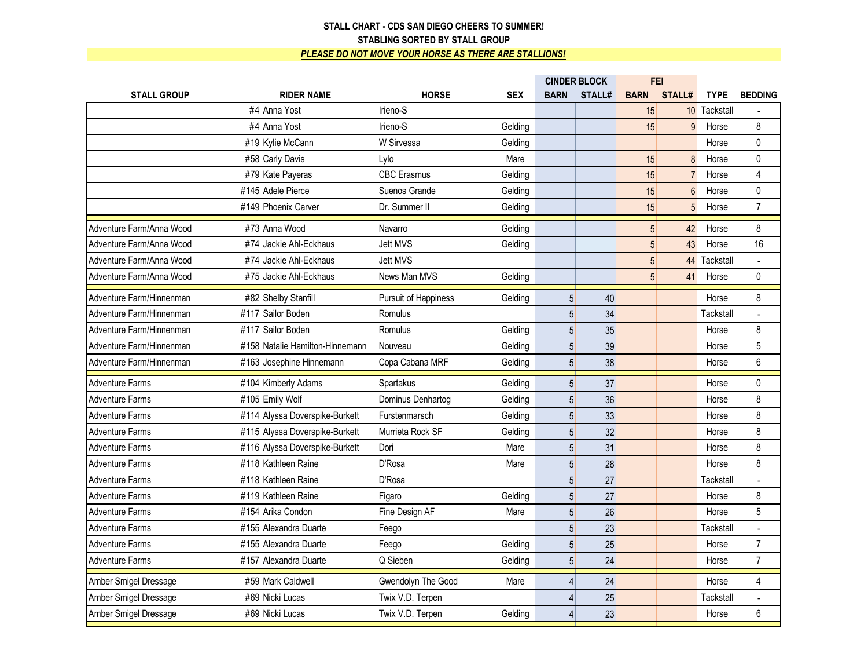|                          | <b>CINDER BLOCK</b>             |                      |            | <b>FEI</b>      |        |                |                |              |                |
|--------------------------|---------------------------------|----------------------|------------|-----------------|--------|----------------|----------------|--------------|----------------|
| <b>STALL GROUP</b>       | <b>RIDER NAME</b>               | <b>HORSE</b>         | <b>SEX</b> | <b>BARN</b>     | STALL# | <b>BARN</b>    | STALL#         | <b>TYPE</b>  | <b>BEDDING</b> |
|                          | #4 Anna Yost                    | Irieno-S             |            |                 |        | 15             |                | 10 Tackstall |                |
|                          | #4 Anna Yost                    | Irieno-S             | Gelding    |                 |        | 15             | 9              | Horse        | 8              |
|                          | #19 Kylie McCann                | W Sirvessa           | Gelding    |                 |        |                |                | Horse        | 0              |
|                          | #58 Carly Davis                 | Lylo                 | Mare       |                 |        | 15             | 8              | Horse        | 0              |
|                          | #79 Kate Payeras                | <b>CBC</b> Erasmus   | Gelding    |                 |        | 15             | $\overline{7}$ | Horse        | 4              |
|                          | #145 Adele Pierce               | Suenos Grande        | Gelding    |                 |        | 15             | $6\phantom{a}$ | Horse        | 0              |
|                          | #149 Phoenix Carver             | Dr. Summer II        | Gelding    |                 |        | 15             | 5              | Horse        | $\overline{7}$ |
| Adventure Farm/Anna Wood | #73 Anna Wood                   | Navarro              | Gelding    |                 |        | 5 <sup>1</sup> | 42             | Horse        | 8              |
| Adventure Farm/Anna Wood | #74 Jackie Ahl-Eckhaus          | <b>Jett MVS</b>      | Gelding    |                 |        | 5 <sup>1</sup> | 43             | Horse        | 16             |
| Adventure Farm/Anna Wood | #74 Jackie Ahl-Eckhaus          | <b>Jett MVS</b>      |            |                 |        | 5 <sup>1</sup> |                | 44 Tackstall |                |
| Adventure Farm/Anna Wood | #75 Jackie Ahl-Eckhaus          | News Man MVS         | Gelding    |                 |        | 5 <sup>5</sup> | 41             | Horse        | 0              |
| Adventure Farm/Hinnenman | #82 Shelby Stanfill             | Pursuit of Happiness | Gelding    | 5 <sup>5</sup>  | 40     |                |                | Horse        | 8              |
| Adventure Farm/Hinnenman | #117 Sailor Boden               | Romulus              |            | 5 <sup>5</sup>  | 34     |                |                | Tackstall    | $\sim$         |
| Adventure Farm/Hinnenman | #117 Sailor Boden               | Romulus              | Gelding    | 5               | 35     |                |                | Horse        | 8              |
| Adventure Farm/Hinnenman | #158 Natalie Hamilton-Hinnemann | Nouveau              | Gelding    | $\overline{5}$  | 39     |                |                | Horse        | 5              |
| Adventure Farm/Hinnenman | #163 Josephine Hinnemann        | Copa Cabana MRF      | Gelding    | 5 <sup>5</sup>  | 38     |                |                | Horse        | $6\,$          |
| <b>Adventure Farms</b>   | #104 Kimberly Adams             | Spartakus            | Gelding    | 5 <sup>5</sup>  | 37     |                |                | Horse        | $\mathbf 0$    |
| <b>Adventure Farms</b>   | #105 Emily Wolf                 | Dominus Denhartog    | Gelding    | 5 <sup>5</sup>  | 36     |                |                | Horse        | 8              |
| <b>Adventure Farms</b>   | #114 Alyssa Doverspike-Burkett  | Furstenmarsch        | Gelding    | 5 <sup>5</sup>  | 33     |                |                | Horse        | 8              |
| <b>Adventure Farms</b>   | #115 Alyssa Doverspike-Burkett  | Murrieta Rock SF     | Gelding    | 5 <sup>5</sup>  | 32     |                |                | Horse        | 8              |
| <b>Adventure Farms</b>   | #116 Alyssa Doverspike-Burkett  | Dori                 | Mare       | 5               | 31     |                |                | Horse        | 8              |
| <b>Adventure Farms</b>   | #118 Kathleen Raine             | D'Rosa               | Mare       | 5 <sup>5</sup>  | 28     |                |                | Horse        | 8              |
| <b>Adventure Farms</b>   | #118 Kathleen Raine             | D'Rosa               |            | $\overline{5}$  | 27     |                |                | Tackstall    |                |
| <b>Adventure Farms</b>   | #119 Kathleen Raine             | Figaro               | Gelding    | 5 <sup>5</sup>  | 27     |                |                | Horse        | 8              |
| <b>Adventure Farms</b>   | #154 Arika Condon               | Fine Design AF       | Mare       | 5 <sup>1</sup>  | 26     |                |                | Horse        | 5              |
| <b>Adventure Farms</b>   | #155 Alexandra Duarte           | Feego                |            | $5\phantom{.0}$ | 23     |                |                | Tackstall    |                |
| <b>Adventure Farms</b>   | #155 Alexandra Duarte           | Feego                | Gelding    | 5 <sup>5</sup>  | 25     |                |                | Horse        | $\overline{7}$ |
| <b>Adventure Farms</b>   | #157 Alexandra Duarte           | Q Sieben             | Gelding    | 5 <sup>5</sup>  | 24     |                |                | Horse        | $\overline{7}$ |
| Amber Smigel Dressage    | #59 Mark Caldwell               | Gwendolyn The Good   | Mare       | $\overline{4}$  | 24     |                |                | Horse        | 4              |
| Amber Smigel Dressage    | #69 Nicki Lucas                 | Twix V.D. Terpen     |            | $\overline{4}$  | 25     |                |                | Tackstall    |                |
| Amber Smigel Dressage    | #69 Nicki Lucas                 | Twix V.D. Terpen     | Gelding    | $\overline{4}$  | 23     |                |                | Horse        | 6              |
|                          |                                 |                      |            |                 |        |                |                |              |                |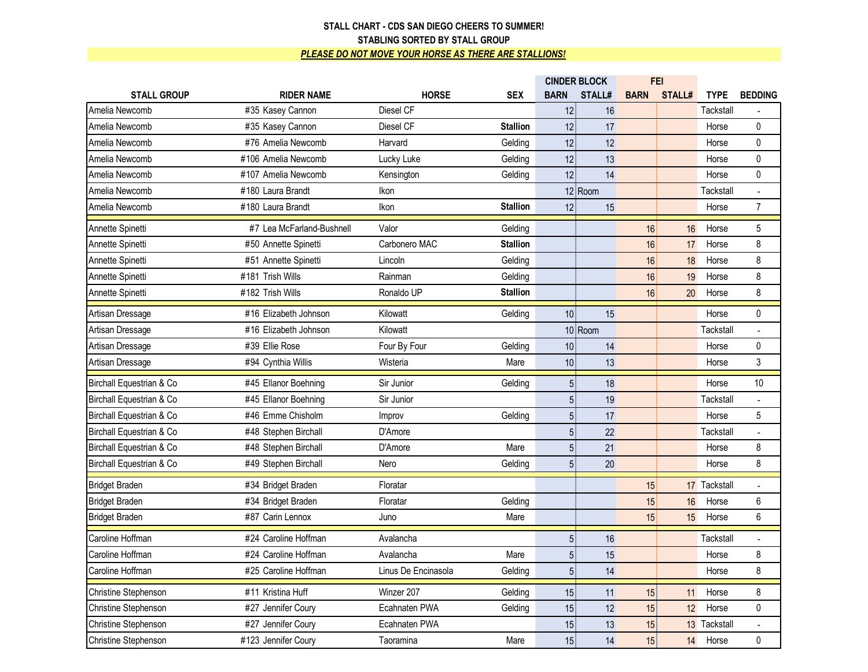|                             |                           |                     |                 | <b>CINDER BLOCK</b> |         |             | <b>FEI</b> |              |                          |
|-----------------------------|---------------------------|---------------------|-----------------|---------------------|---------|-------------|------------|--------------|--------------------------|
| <b>STALL GROUP</b>          | <b>RIDER NAME</b>         | <b>HORSE</b>        | <b>SEX</b>      | <b>BARN</b>         | STALL#  | <b>BARN</b> | STALL#     | <b>TYPE</b>  | <b>BEDDING</b>           |
| Amelia Newcomb              | #35 Kasey Cannon          | Diesel CF           |                 | 12                  | 16      |             |            | Tackstall    |                          |
| Amelia Newcomb              | #35 Kasey Cannon          | Diesel CF           | <b>Stallion</b> | 12                  | 17      |             |            | Horse        | $\pmb{0}$                |
| Amelia Newcomb              | #76 Amelia Newcomb        | Harvard             | Gelding         | 12                  | 12      |             |            | Horse        | 0                        |
| Amelia Newcomb              | #106 Amelia Newcomb       | Lucky Luke          | Gelding         | 12                  | 13      |             |            | Horse        | $\pmb{0}$                |
| Amelia Newcomb              | #107 Amelia Newcomb       | Kensington          | Gelding         | 12                  | 14      |             |            | Horse        | $\pmb{0}$                |
| Amelia Newcomb              | #180 Laura Brandt         | <b>Ikon</b>         |                 |                     | 12 Room |             |            | Tackstall    | $\overline{a}$           |
| Amelia Newcomb              | #180 Laura Brandt         | Ikon                | <b>Stallion</b> | 12                  | 15      |             |            | Horse        | $\overline{7}$           |
| Annette Spinetti            | #7 Lea McFarland-Bushnell | Valor               | Gelding         |                     |         | 16          | 16         | Horse        | $\sqrt{5}$               |
| Annette Spinetti            | #50 Annette Spinetti      | Carbonero MAC       | <b>Stallion</b> |                     |         | 16          | 17         | Horse        | 8                        |
| Annette Spinetti            | #51 Annette Spinetti      | Lincoln             | Gelding         |                     |         | 16          | 18         | Horse        | 8                        |
| Annette Spinetti            | #181 Trish Wills          | Rainman             | Gelding         |                     |         | 16          | 19         | Horse        | $\bf 8$                  |
| Annette Spinetti            | #182 Trish Wills          | Ronaldo UP          | <b>Stallion</b> |                     |         | 16          | 20         | Horse        | 8                        |
| Artisan Dressage            | #16 Elizabeth Johnson     | Kilowatt            | Gelding         | 10                  | 15      |             |            | Horse        | $\pmb{0}$                |
| Artisan Dressage            | #16 Elizabeth Johnson     | Kilowatt            |                 |                     | 10 Room |             |            | Tackstall    |                          |
| Artisan Dressage            | #39 Ellie Rose            | Four By Four        | Gelding         | 10 <sup>1</sup>     | 14      |             |            | Horse        | $\pmb{0}$                |
| Artisan Dressage            | #94 Cynthia Willis        | Wisteria            | Mare            | 10                  | 13      |             |            | Horse        | 3                        |
| Birchall Equestrian & Co    | #45 Ellanor Boehning      | Sir Junior          | Gelding         | 5 <sup>2</sup>      | 18      |             |            | Horse        | 10                       |
| Birchall Equestrian & Co    | #45 Ellanor Boehning      | Sir Junior          |                 | $\overline{5}$      | 19      |             |            | Tackstall    |                          |
| Birchall Equestrian & Co    | #46 Emme Chisholm         | Improv              | Gelding         | 5 <sup>2</sup>      | 17      |             |            | Horse        | 5                        |
| Birchall Equestrian & Co    | #48 Stephen Birchall      | D'Amore             |                 | 5                   | 22      |             |            | Tackstall    | $\overline{\phantom{a}}$ |
| Birchall Equestrian & Co    | #48 Stephen Birchall      | D'Amore             | Mare            | $\overline{5}$      | 21      |             |            | Horse        | 8                        |
| Birchall Equestrian & Co    | #49 Stephen Birchall      | Nero                | Gelding         | 5 <sup>1</sup>      | 20      |             |            | Horse        | 8                        |
| <b>Bridget Braden</b>       | #34 Bridget Braden        | Floratar            |                 |                     |         | 15          |            | 17 Tackstall | $\overline{\phantom{a}}$ |
| <b>Bridget Braden</b>       | #34 Bridget Braden        | Floratar            | Gelding         |                     |         | 15          | 16         | Horse        | $\boldsymbol{6}$         |
| <b>Bridget Braden</b>       | #87 Carin Lennox          | Juno                | Mare            |                     |         | 15          | 15         | Horse        | 6                        |
| Caroline Hoffman            | #24 Caroline Hoffman      | Avalancha           |                 | 5 <sup>2</sup>      | 16      |             |            | Tackstall    | $\overline{\phantom{a}}$ |
| Caroline Hoffman            | #24 Caroline Hoffman      | Avalancha           | Mare            | $\overline{5}$      | 15      |             |            | Horse        | 8                        |
| Caroline Hoffman            | #25 Caroline Hoffman      | Linus De Encinasola | Gelding         | 5 <sup>1</sup>      | 14      |             |            | Horse        | 8                        |
| Christine Stephenson        | #11 Kristina Huff         | Winzer 207          | Gelding         | 15                  | 11      | 15          | 11         | Horse        | 8                        |
| Christine Stephenson        | #27 Jennifer Coury        | Ecahnaten PWA       | Gelding         | 15                  | 12      | 15          | 12         | Horse        | 0                        |
| Christine Stephenson        | #27 Jennifer Coury        | Ecahnaten PWA       |                 | 15                  | 13      | 15          |            | 13 Tackstall | $\overline{a}$           |
| <b>Christine Stephenson</b> | #123 Jennifer Coury       | Taoramina           | Mare            | 15                  | 14      | 15          | 14         | Horse        | 0                        |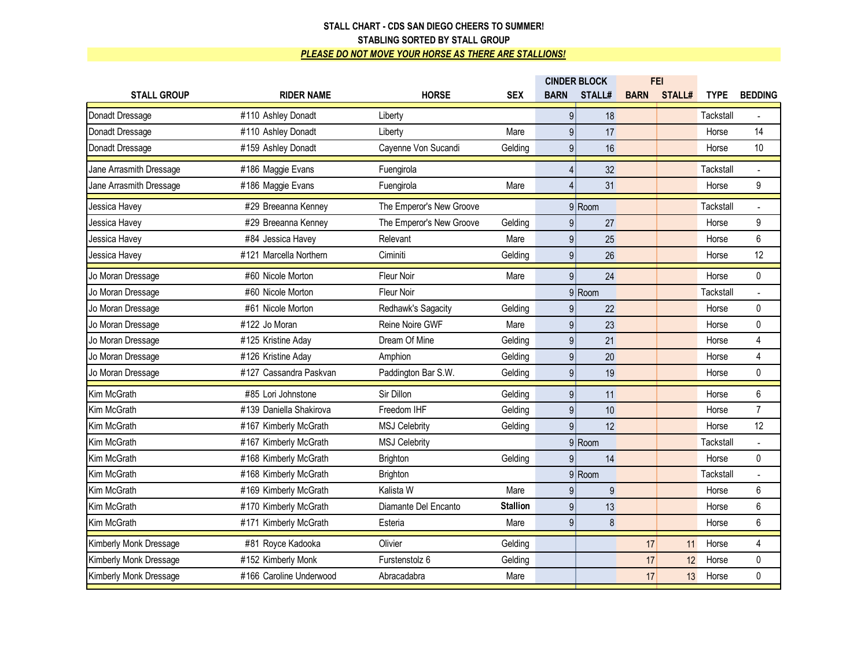|                         |                         | <b>CINDER BLOCK</b>      |                 | <b>FEI</b>      |          |             |        |             |                |
|-------------------------|-------------------------|--------------------------|-----------------|-----------------|----------|-------------|--------|-------------|----------------|
| <b>STALL GROUP</b>      | <b>RIDER NAME</b>       | <b>HORSE</b>             | <b>SEX</b>      | <b>BARN</b>     | STALL#   | <b>BARN</b> | STALL# | <b>TYPE</b> | <b>BEDDING</b> |
| Donadt Dressage         | #110 Ashley Donadt      | Liberty                  |                 | 9               | 18       |             |        | Tackstall   |                |
| Donadt Dressage         | #110 Ashley Donadt      | Liberty                  | Mare            | 9               | 17       |             |        | Horse       | 14             |
| Donadt Dressage         | #159 Ashley Donadt      | Cayenne Von Sucandi      | Gelding         | 9               | 16       |             |        | Horse       | 10             |
| Jane Arrasmith Dressage | #186 Maggie Evans       | Fuengirola               |                 | $\overline{4}$  | 32       |             |        | Tackstall   |                |
| Jane Arrasmith Dressage | #186 Maggie Evans       | Fuengirola               | Mare            | $\vert 4 \vert$ | 31       |             |        | Horse       | 9              |
| Jessica Havey           | #29 Breeanna Kenney     | The Emperor's New Groove |                 |                 | 9Room    |             |        | Tackstall   |                |
| Jessica Havey           | #29 Breeanna Kenney     | The Emperor's New Groove | Gelding         | 9               | 27       |             |        | Horse       | 9              |
| Jessica Havey           | #84 Jessica Havey       | Relevant                 | Mare            | 9               | 25       |             |        | Horse       | 6              |
| Jessica Havey           | #121 Marcella Northern  | Ciminiti                 | Gelding         | 9               | 26       |             |        | Horse       | 12             |
| Jo Moran Dressage       | #60 Nicole Morton       | <b>Fleur Noir</b>        | Mare            | 9               | 24       |             |        | Horse       | 0              |
| Jo Moran Dressage       | #60 Nicole Morton       | <b>Fleur Noir</b>        |                 |                 | 9Room    |             |        | Tackstall   | $\blacksquare$ |
| Jo Moran Dressage       | #61 Nicole Morton       | Redhawk's Sagacity       | Gelding         | 9               | 22       |             |        | Horse       | 0              |
| Jo Moran Dressage       | #122 Jo Moran           | Reine Noire GWF          | Mare            | 9               | 23       |             |        | Horse       | 0              |
| Jo Moran Dressage       | #125 Kristine Aday      | Dream Of Mine            | Gelding         | 9               | 21       |             |        | Horse       | 4              |
| Jo Moran Dressage       | #126 Kristine Aday      | Amphion                  | Gelding         | 9               | 20       |             |        | Horse       | 4              |
| Jo Moran Dressage       | #127 Cassandra Paskvan  | Paddington Bar S.W.      | Gelding         | 9               | 19       |             |        | Horse       | 0              |
| Kim McGrath             | #85 Lori Johnstone      | Sir Dillon               | Geldina         | 9               | 11       |             |        | Horse       | 6              |
| Kim McGrath             | #139 Daniella Shakirova | Freedom IHF              | Gelding         | 9               | 10       |             |        | Horse       | $\overline{7}$ |
| Kim McGrath             | #167 Kimberly McGrath   | <b>MSJ Celebrity</b>     | Gelding         | 9               | 12       |             |        | Horse       | 12             |
| Kim McGrath             | #167 Kimberly McGrath   | <b>MSJ Celebrity</b>     |                 |                 | $9$ Room |             |        | Tackstall   |                |
| Kim McGrath             | #168 Kimberly McGrath   | <b>Brighton</b>          | Gelding         | 9               | 14       |             |        | Horse       | 0              |
| Kim McGrath             | #168 Kimberly McGrath   | <b>Brighton</b>          |                 |                 | 9Room    |             |        | Tackstall   | $\overline{a}$ |
| Kim McGrath             | #169 Kimberly McGrath   | Kalista W                | Mare            | 9               | 9        |             |        | Horse       | 6              |
| Kim McGrath             | #170 Kimberly McGrath   | Diamante Del Encanto     | <b>Stallion</b> | 9               | 13       |             |        | Horse       | 6              |
| Kim McGrath             | #171 Kimberly McGrath   | Esteria                  | Mare            | 9               | 8        |             |        | Horse       | 6              |
| Kimberly Monk Dressage  | #81 Royce Kadooka       | Olivier                  | Gelding         |                 |          | 17          | 11     | Horse       | 4              |
| Kimberly Monk Dressage  | #152 Kimberly Monk      | Furstenstolz 6           | Gelding         |                 |          | 17          | 12     | Horse       | 0              |
| Kimberly Monk Dressage  | #166 Caroline Underwood | Abracadabra              | Mare            |                 |          | 17          | 13     | Horse       | 0              |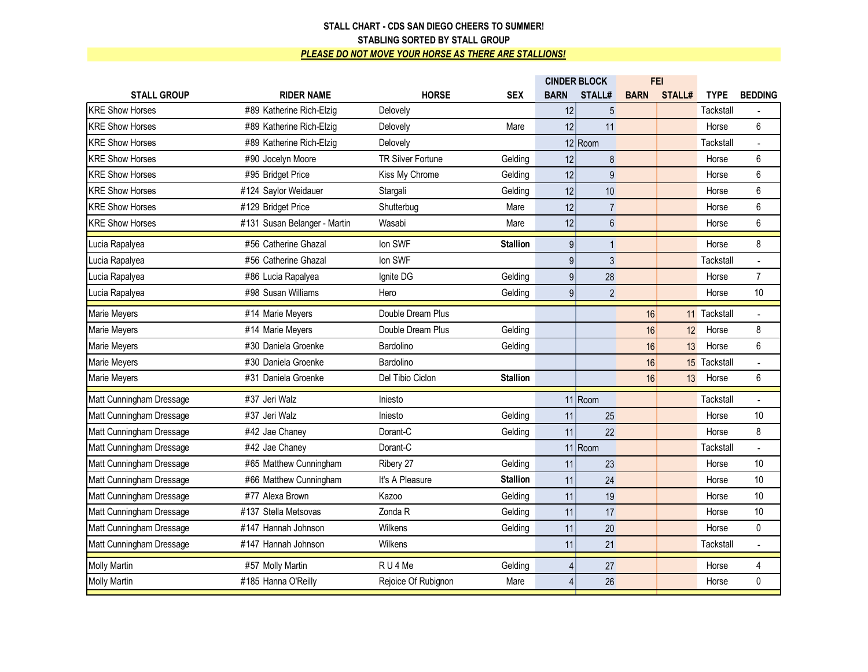| <b>RIDER NAME</b><br><b>BARN</b><br><b>HORSE</b><br><b>STALL GROUP</b><br><b>SEX</b><br><b>KRE Show Horses</b><br>#89 Katherine Rich-Elzig<br>Delovely<br><b>KRE Show Horses</b><br>#89 Katherine Rich-Elzig<br>Delovely<br>Mare<br><b>KRE Show Horses</b><br>#89 Katherine Rich-Elzig<br>Delovely | 12<br>12<br>$12$ Room<br>12 | STALL#<br>5<br>11 | <b>BARN</b> | STALL# | <b>TYPE</b><br><b>Tackstall</b> | <b>BEDDING</b> |
|----------------------------------------------------------------------------------------------------------------------------------------------------------------------------------------------------------------------------------------------------------------------------------------------------|-----------------------------|-------------------|-------------|--------|---------------------------------|----------------|
|                                                                                                                                                                                                                                                                                                    |                             |                   |             |        |                                 |                |
|                                                                                                                                                                                                                                                                                                    |                             |                   |             |        |                                 |                |
|                                                                                                                                                                                                                                                                                                    |                             |                   |             |        | Horse                           | $6\,$          |
|                                                                                                                                                                                                                                                                                                    |                             |                   |             |        | Tackstall                       |                |
| <b>TR Silver Fortune</b><br><b>KRE Show Horses</b><br>#90 Jocelyn Moore<br>Gelding                                                                                                                                                                                                                 |                             | 8                 |             |        | Horse                           | 6              |
| <b>KRE Show Horses</b><br>#95 Bridget Price<br>Kiss My Chrome<br>Gelding                                                                                                                                                                                                                           | 12                          | 9                 |             |        | Horse                           | 6              |
| <b>KRE Show Horses</b><br>#124 Saylor Weidauer<br>Stargali<br>Gelding                                                                                                                                                                                                                              | 12                          | 10                |             |        | Horse                           | $6\,$          |
| <b>KRE Show Horses</b><br>#129 Bridget Price<br>Shutterbug<br>Mare                                                                                                                                                                                                                                 | 12                          | $\overline{7}$    |             |        | Horse                           | 6              |
| <b>KRE Show Horses</b><br>#131 Susan Belanger - Martin<br>Wasabi<br>Mare                                                                                                                                                                                                                           | 12                          | 6                 |             |        | Horse                           | 6              |
| #56 Catherine Ghazal<br>Ion SWF<br>Lucia Rapalyea<br><b>Stallion</b>                                                                                                                                                                                                                               | 9                           | $\overline{1}$    |             |        | Horse                           | 8              |
| Ion SWF<br>#56 Catherine Ghazal<br>Lucia Rapalyea                                                                                                                                                                                                                                                  | 9                           | 3                 |             |        | Tackstall                       | $\overline{a}$ |
| Lucia Rapalyea<br>#86 Lucia Rapalyea<br>Ignite DG<br>Gelding                                                                                                                                                                                                                                       | $\boldsymbol{9}$            | 28                |             |        | Horse                           | $\overline{7}$ |
| #98 Susan Williams<br>Gelding<br>Lucia Rapalyea<br>Hero                                                                                                                                                                                                                                            | 9                           | $\overline{2}$    |             |        | Horse                           | 10             |
| Double Dream Plus<br>Marie Meyers<br>#14 Marie Meyers                                                                                                                                                                                                                                              |                             |                   | 16          |        | 11 Tackstall                    | $\overline{a}$ |
| Double Dream Plus<br>Gelding<br>Marie Meyers<br>#14 Marie Meyers                                                                                                                                                                                                                                   |                             |                   | 16          | 12     | Horse                           | 8              |
| <b>Marie Meyers</b><br>#30 Daniela Groenke<br>Bardolino<br>Gelding                                                                                                                                                                                                                                 |                             |                   | 16          | 13     | Horse                           | 6              |
| #30 Daniela Groenke<br>Marie Meyers<br>Bardolino                                                                                                                                                                                                                                                   |                             |                   | 16          |        | 15 Tackstall                    | $\overline{a}$ |
| <b>Stallion</b><br>#31 Daniela Groenke<br>Del Tibio Ciclon<br>Marie Meyers                                                                                                                                                                                                                         |                             |                   | 16          | 13     | Horse                           | 6              |
| #37 Jeri Walz<br>Matt Cunningham Dressage<br>Iniesto                                                                                                                                                                                                                                               | $11$ Room                   |                   |             |        | Tackstall                       |                |
| #37 Jeri Walz<br>Matt Cunningham Dressage<br>Gelding<br>Injesto                                                                                                                                                                                                                                    | 11                          | 25                |             |        | Horse                           | 10             |
| Matt Cunningham Dressage<br>#42 Jae Chaney<br>Dorant-C<br>Gelding                                                                                                                                                                                                                                  | 11                          | 22                |             |        | Horse                           | 8              |
| Matt Cunningham Dressage<br>Dorant-C<br>#42 Jae Chaney                                                                                                                                                                                                                                             | $11$ Room                   |                   |             |        | Tackstall                       |                |
| Matt Cunningham Dressage<br>Gelding<br>#65 Matthew Cunningham<br>Ribery 27                                                                                                                                                                                                                         | 11                          | 23                |             |        | Horse                           | 10             |
| Matt Cunningham Dressage<br>It's A Pleasure<br><b>Stallion</b><br>#66 Matthew Cunningham                                                                                                                                                                                                           | 11                          | 24                |             |        | Horse                           | 10             |
| Matt Cunningham Dressage<br>#77 Alexa Brown<br>Kazoo<br>Gelding                                                                                                                                                                                                                                    | 11                          | 19                |             |        | Horse                           | 10             |
| Matt Cunningham Dressage<br>Zonda <sub>R</sub><br>#137 Stella Metsovas<br>Gelding                                                                                                                                                                                                                  | 11                          | 17                |             |        | Horse                           | 10             |
| Matt Cunningham Dressage<br>#147 Hannah Johnson<br>Wilkens<br>Gelding                                                                                                                                                                                                                              | 11                          | 20                |             |        | Horse                           | 0              |
| #147 Hannah Johnson<br>Wilkens<br>Matt Cunningham Dressage                                                                                                                                                                                                                                         | 11                          | 21                |             |        | Tackstall                       | $\overline{a}$ |
| RU4Me<br><b>Molly Martin</b><br>#57 Molly Martin<br>Gelding                                                                                                                                                                                                                                        | $\sqrt{4}$                  | 27                |             |        | Horse                           | 4              |
| <b>Molly Martin</b><br>#185 Hanna O'Reilly<br>Rejoice Of Rubignon<br>Mare                                                                                                                                                                                                                          | $\overline{4}$              | 26                |             |        | Horse                           | 0              |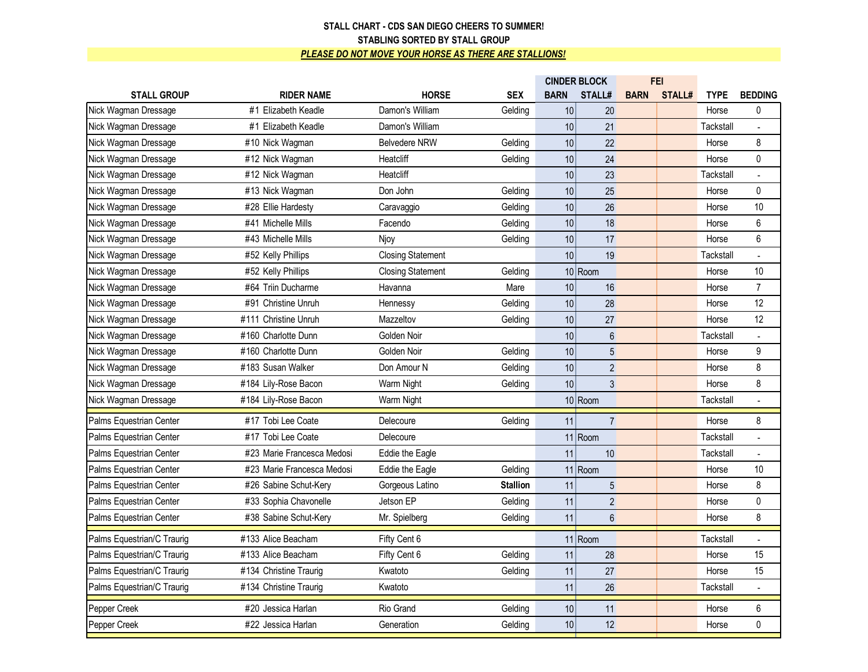|                            |                            |                          |                 |                 |                |             | <b>FEI</b>    |             |                          |
|----------------------------|----------------------------|--------------------------|-----------------|-----------------|----------------|-------------|---------------|-------------|--------------------------|
| <b>STALL GROUP</b>         | <b>RIDER NAME</b>          | <b>HORSE</b>             | <b>SEX</b>      | <b>BARN</b>     | STALL#         | <b>BARN</b> | <b>STALL#</b> | <b>TYPE</b> | <b>BEDDING</b>           |
| Nick Wagman Dressage       | #1 Elizabeth Keadle        | Damon's William          | Gelding         | 10              | 20             |             |               | Horse       | $\pmb{0}$                |
| Nick Wagman Dressage       | #1 Elizabeth Keadle        | Damon's William          |                 | 10              | 21             |             |               | Tackstall   |                          |
| Nick Wagman Dressage       | #10 Nick Wagman            | <b>Belvedere NRW</b>     | Gelding         | 10              | 22             |             |               | Horse       | 8                        |
| Nick Wagman Dressage       | #12 Nick Wagman            | Heatcliff                | Gelding         | 10              | 24             |             |               | Horse       | $\pmb{0}$                |
| Nick Wagman Dressage       | #12 Nick Wagman            | Heatcliff                |                 | 10              | 23             |             |               | Tackstall   |                          |
| Nick Wagman Dressage       | #13 Nick Wagman            | Don John                 | Geldina         | 10 <sup>1</sup> | 25             |             |               | Horse       | $\mathbf{0}$             |
| Nick Wagman Dressage       | #28 Ellie Hardesty         | Caravaggio               | Gelding         | 10              | 26             |             |               | Horse       | 10                       |
| Nick Wagman Dressage       | #41 Michelle Mills         | Facendo                  | Gelding         | 10              | 18             |             |               | Horse       | $6\phantom{1}$           |
| Nick Wagman Dressage       | #43 Michelle Mills         | Njoy                     | Gelding         | 10              | 17             |             |               | Horse       | $6\phantom{1}$           |
| Nick Wagman Dressage       | #52 Kelly Phillips         | <b>Closing Statement</b> |                 | 10 <sup>1</sup> | 19             |             |               | Tackstall   | $\overline{a}$           |
| Nick Wagman Dressage       | #52 Kelly Phillips         | <b>Closing Statement</b> | Gelding         |                 | 10 Room        |             |               | Horse       | 10                       |
| Nick Wagman Dressage       | #64 Triin Ducharme         | Havanna                  | Mare            | 10              | 16             |             |               | Horse       | $\overline{7}$           |
| Nick Wagman Dressage       | #91 Christine Unruh        | Hennessy                 | Gelding         | 10              | 28             |             |               | Horse       | 12                       |
| Nick Wagman Dressage       | #111 Christine Unruh       | Mazzeltov                | Gelding         | 10              | 27             |             |               | Horse       | 12                       |
| Nick Wagman Dressage       | #160 Charlotte Dunn        | Golden Noir              |                 | 10              | $\,6\,$        |             |               | Tackstall   | $\overline{a}$           |
| Nick Wagman Dressage       | #160 Charlotte Dunn        | Golden Noir              | Gelding         | 10 <sup>1</sup> | 5              |             |               | Horse       | 9                        |
| Nick Wagman Dressage       | #183 Susan Walker          | Don Amour N              | Gelding         | 10              | $\overline{2}$ |             |               | Horse       | 8                        |
| Nick Wagman Dressage       | #184 Lily-Rose Bacon       | Warm Night               | Gelding         | 10              | 3              |             |               | Horse       | 8                        |
| Nick Wagman Dressage       | #184 Lily-Rose Bacon       | Warm Night               |                 |                 | 10 Room        |             |               | Tackstall   | $\overline{a}$           |
| Palms Equestrian Center    | #17 Tobi Lee Coate         | Delecoure                | Gelding         | 11              | $\overline{7}$ |             |               | Horse       | 8                        |
| Palms Equestrian Center    | #17 Tobi Lee Coate         | Delecoure                |                 |                 | 11 Room        |             |               | Tackstall   |                          |
| Palms Equestrian Center    | #23 Marie Francesca Medosi | Eddie the Eagle          |                 | 11              | 10             |             |               | Tackstall   | $\blacksquare$           |
| Palms Equestrian Center    | #23 Marie Francesca Medosi | Eddie the Eagle          | Gelding         |                 | 11 Room        |             |               | Horse       | 10                       |
| Palms Equestrian Center    | #26 Sabine Schut-Kery      | Gorgeous Latino          | <b>Stallion</b> | 11              | $\sqrt{5}$     |             |               | Horse       | 8                        |
| Palms Equestrian Center    | #33 Sophia Chavonelle      | Jetson EP                | Gelding         | 11              | $\overline{2}$ |             |               | Horse       | $\pmb{0}$                |
| Palms Equestrian Center    | #38 Sabine Schut-Kery      | Mr. Spielberg            | Gelding         | 11              | $6\phantom{a}$ |             |               | Horse       | 8                        |
| Palms Equestrian/C Traurig | #133 Alice Beacham         | Fifty Cent 6             |                 |                 | 11 Room        |             |               | Tackstall   | $\overline{a}$           |
| Palms Equestrian/C Traurig | #133 Alice Beacham         | Fifty Cent 6             | Gelding         | 11              | 28             |             |               | Horse       | 15                       |
| Palms Equestrian/C Traurig | #134 Christine Traurig     | Kwatoto                  | Gelding         | 11              | 27             |             |               | Horse       | 15                       |
| Palms Equestrian/C Traurig | #134 Christine Traurig     | Kwatoto                  |                 | 11              | 26             |             |               | Tackstall   | $\overline{\phantom{a}}$ |
| Pepper Creek               | #20 Jessica Harlan         | Rio Grand                | Gelding         | 10              | 11             |             |               | Horse       | 6                        |
| Pepper Creek               | #22 Jessica Harlan         | Generation               | Gelding         | 10              | 12             |             |               | Horse       | $\pmb{0}$                |
|                            |                            |                          |                 |                 |                |             |               |             |                          |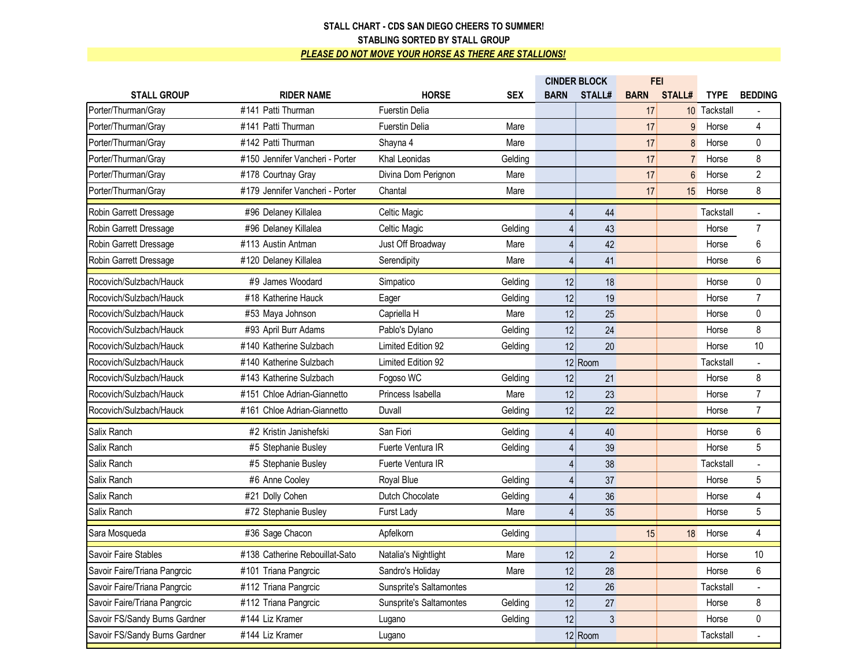| <b>CINDER BLOCK</b>           |                                 |                         | <b>FEI</b> |                |                |             |                |              |                          |
|-------------------------------|---------------------------------|-------------------------|------------|----------------|----------------|-------------|----------------|--------------|--------------------------|
| <b>STALL GROUP</b>            | <b>RIDER NAME</b>               | <b>HORSE</b>            | <b>SEX</b> | <b>BARN</b>    | STALL#         | <b>BARN</b> | STALL#         | <b>TYPE</b>  | <b>BEDDING</b>           |
| Porter/Thurman/Gray           | #141 Patti Thurman              | <b>Fuerstin Delia</b>   |            |                |                | 17          |                | 10 Tackstall |                          |
| Porter/Thurman/Gray           | #141 Patti Thurman              | <b>Fuerstin Delia</b>   | Mare       |                |                | 17          | 9              | Horse        | $\overline{4}$           |
| Porter/Thurman/Grav           | #142 Patti Thurman              | Shayna 4                | Mare       |                |                | 17          | $\mathbf{8}$   | Horse        | $\mathbf{0}$             |
| Porter/Thurman/Gray           | #150 Jennifer Vancheri - Porter | Khal Leonidas           | Gelding    |                |                | 17          | $\overline{7}$ | Horse        | 8                        |
| Porter/Thurman/Gray           | #178 Courtnay Gray              | Divina Dom Perignon     | Mare       |                |                | 17          | $6\phantom{a}$ | Horse        | $\overline{2}$           |
| Porter/Thurman/Gray           | #179 Jennifer Vancheri - Porter | Chantal                 | Mare       |                |                | 17          | 15             | Horse        | 8                        |
| Robin Garrett Dressage        | #96 Delaney Killalea            | Celtic Magic            |            | $\overline{4}$ | 44             |             |                | Tackstall    | $\overline{a}$           |
| Robin Garrett Dressage        | #96 Delaney Killalea            | Celtic Magic            | Gelding    | $\overline{4}$ | 43             |             |                | Horse        | $\overline{7}$           |
| Robin Garrett Dressage        | #113 Austin Antman              | Just Off Broadway       | Mare       | $\overline{4}$ | 42             |             |                | Horse        | 6                        |
| Robin Garrett Dressage        | #120 Delaney Killalea           | Serendipity             | Mare       | $\overline{4}$ | 41             |             |                | Horse        | $6\,$                    |
| Rocovich/Sulzbach/Hauck       | #9 James Woodard                | Simpatico               | Gelding    | 12             | 18             |             |                | Horse        | $\mathbf{0}$             |
| Rocovich/Sulzbach/Hauck       | #18 Katherine Hauck             | Eager                   | Gelding    | 12             | 19             |             |                | Horse        | $\overline{7}$           |
| Rocovich/Sulzbach/Hauck       | #53 Maya Johnson                | Capriella H             | Mare       | 12             | 25             |             |                | Horse        | $\pmb{0}$                |
| Rocovich/Sulzbach/Hauck       | #93 April Burr Adams            | Pablo's Dylano          | Gelding    | 12             | 24             |             |                | Horse        | 8                        |
| Rocovich/Sulzbach/Hauck       | #140 Katherine Sulzbach         | Limited Edition 92      | Gelding    | 12             | 20             |             |                | Horse        | 10                       |
| Rocovich/Sulzbach/Hauck       | #140 Katherine Sulzbach         | Limited Edition 92      |            |                | 12 Room        |             |                | Tackstall    | $\overline{\phantom{a}}$ |
| Rocovich/Sulzbach/Hauck       | #143 Katherine Sulzbach         | Fogoso WC               | Gelding    | 12             | 21             |             |                | Horse        | 8                        |
| Rocovich/Sulzbach/Hauck       | #151 Chloe Adrian-Giannetto     | Princess Isabella       | Mare       | 12             | 23             |             |                | Horse        | $\overline{7}$           |
| Rocovich/Sulzbach/Hauck       | #161 Chloe Adrian-Giannetto     | Duvall                  | Gelding    | 12             | 22             |             |                | Horse        | $\overline{7}$           |
| Salix Ranch                   | #2 Kristin Janishefski          | San Fiori               | Gelding    | $\overline{4}$ | 40             |             |                | Horse        | $6\,$                    |
| Salix Ranch                   | #5 Stephanie Busley             | Fuerte Ventura IR       | Gelding    | $\overline{4}$ | 39             |             |                | Horse        | 5                        |
| Salix Ranch                   | #5 Stephanie Busley             | Fuerte Ventura IR       |            | $\overline{4}$ | 38             |             |                | Tackstall    | $\overline{a}$           |
| Salix Ranch                   | #6 Anne Cooley                  | Royal Blue              | Gelding    | $\overline{4}$ | 37             |             |                | Horse        | 5                        |
| Salix Ranch                   | #21 Dolly Cohen                 | Dutch Chocolate         | Gelding    | $\sqrt{4}$     | 36             |             |                | Horse        | 4                        |
| Salix Ranch                   | #72 Stephanie Busley            | Furst Lady              | Mare       | $\overline{4}$ | 35             |             |                | Horse        | $\overline{5}$           |
| Sara Mosqueda                 | #36 Sage Chacon                 | Apfelkorn               | Gelding    |                |                | 15          | 18             | Horse        | $\overline{4}$           |
| Savoir Faire Stables          | #138 Catherine Rebouillat-Sato  | Natalia's Nightlight    | Mare       | 12             | $\overline{2}$ |             |                | Horse        | 10 <sup>1</sup>          |
| Savoir Faire/Triana Pangrcic  | #101 Triana Pangrcic            | Sandro's Holiday        | Mare       | 12             | 28             |             |                | Horse        | 6                        |
| Savoir Faire/Triana Pangrcic  | #112 Triana Pangrcic            | Sunsprite's Saltamontes |            | 12             | 26             |             |                | Tackstall    | $\overline{\phantom{a}}$ |
| Savoir Faire/Triana Pangrcic  | #112 Triana Pangrcic            | Sunsprite's Saltamontes | Gelding    | 12             | 27             |             |                | Horse        | 8                        |
| Savoir FS/Sandy Burns Gardner | #144 Liz Kramer                 | Lugano                  | Gelding    | 12             | $\mathfrak{Z}$ |             |                | Horse        | $\pmb{0}$                |
| Savoir FS/Sandy Burns Gardner | #144 Liz Kramer                 | Lugano                  |            |                | $12$ Room      |             |                | Tackstall    |                          |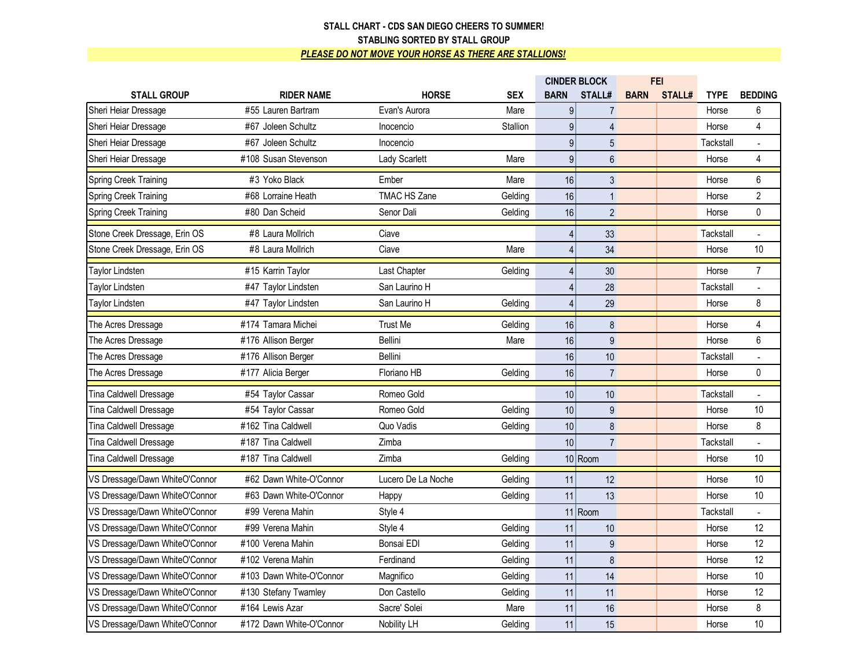|                                |                          |                    |            | <b>CINDER BLOCK</b> |                  |             | <b>FEI</b> |                  |                 |
|--------------------------------|--------------------------|--------------------|------------|---------------------|------------------|-------------|------------|------------------|-----------------|
| <b>STALL GROUP</b>             | <b>RIDER NAME</b>        | <b>HORSE</b>       | <b>SEX</b> | <b>BARN</b>         | STALL#           | <b>BARN</b> | STALL#     | <b>TYPE</b>      | <b>BEDDING</b>  |
| Sheri Heiar Dressage           | #55 Lauren Bartram       | Evan's Aurora      | Mare       | 9                   | $\overline{7}$   |             |            | Horse            | 6               |
| Sheri Heiar Dressage           | #67 Joleen Schultz       | Inocencio          | Stallion   | 9                   | $\overline{4}$   |             |            | Horse            | $\overline{4}$  |
| Sheri Heiar Dressage           | #67 Joleen Schultz       | Inocencio          |            | 9                   | 5                |             |            | Tackstall        | $\overline{a}$  |
| Sheri Heiar Dressage           | #108 Susan Stevenson     | Lady Scarlett      | Mare       | 9                   | $\boldsymbol{6}$ |             |            | Horse            | $\overline{4}$  |
| Spring Creek Training          | #3 Yoko Black            | Ember              | Mare       | 16                  | $\sqrt{3}$       |             |            | Horse            | 6               |
| Spring Creek Training          | #68 Lorraine Heath       | TMAC HS Zane       | Gelding    | 16                  | $\mathbf{1}$     |             |            | Horse            | $\overline{2}$  |
| Spring Creek Training          | #80 Dan Scheid           | Senor Dali         | Gelding    | 16                  | $\sqrt{2}$       |             |            | Horse            | $\pmb{0}$       |
| Stone Creek Dressage, Erin OS  | #8 Laura Mollrich        | Ciave              |            | $\vert 4 \vert$     | 33               |             |            | Tackstall        |                 |
| Stone Creek Dressage, Erin OS  | #8 Laura Mollrich        | Ciave              | Mare       | $\vert 4 \vert$     | 34               |             |            | Horse            | 10              |
| Taylor Lindsten                | #15 Karrin Taylor        | Last Chapter       | Gelding    | $\vert 4 \vert$     | 30               |             |            | Horse            | $\overline{7}$  |
| <b>Tavlor Lindsten</b>         | #47 Taylor Lindsten      | San Laurino H      |            | $\vert 4 \vert$     | 28               |             |            | Tackstall        | $\frac{1}{2}$   |
| <b>Taylor Lindsten</b>         | #47 Taylor Lindsten      | San Laurino H      | Gelding    | $\overline{4}$      | 29               |             |            | Horse            | 8               |
| The Acres Dressage             | #174 Tamara Michei       | <b>Trust Me</b>    | Gelding    | 16                  | 8                |             |            | Horse            | $\overline{4}$  |
| The Acres Dressage             | #176 Allison Berger      | <b>Bellini</b>     | Mare       | 16                  | 9                |             |            | Horse            | $6\phantom{1}$  |
| The Acres Dressage             | #176 Allison Berger      | <b>Bellini</b>     |            | 16                  | 10               |             |            | Tackstall        |                 |
| The Acres Dressage             | #177 Alicia Berger       | Floriano HB        | Gelding    | 16                  | $\overline{7}$   |             |            | Horse            | 0               |
| Tina Caldwell Dressage         | #54 Taylor Cassar        | Romeo Gold         |            | 10                  | 10               |             |            | Tackstall        |                 |
| Tina Caldwell Dressage         | #54 Taylor Cassar        | Romeo Gold         | Gelding    | 10                  | $\boldsymbol{9}$ |             |            | Horse            | 10 <sup>1</sup> |
| Tina Caldwell Dressage         | #162 Tina Caldwell       | Quo Vadis          | Gelding    | 10                  | 8                |             |            | Horse            | 8               |
| Tina Caldwell Dressage         | #187 Tina Caldwell       | Zimba              |            | 10                  | $\overline{7}$   |             |            | Tackstall        |                 |
| Tina Caldwell Dressage         | #187 Tina Caldwell       | Zimba              | Gelding    |                     | 10 Room          |             |            | Horse            | 10              |
| VS Dressage/Dawn WhiteO'Connor | #62 Dawn White-O'Connor  | Lucero De La Noche | Gelding    | 11                  | 12               |             |            | Horse            | 10              |
| VS Dressage/Dawn WhiteO'Connor | #63 Dawn White-O'Connor  | Happy              | Gelding    | 11                  | 13               |             |            | Horse            | 10              |
| VS Dressage/Dawn WhiteO'Connor | #99 Verena Mahin         | Style 4            |            |                     | 11 Room          |             |            | <b>Tackstall</b> | $\overline{a}$  |
| VS Dressage/Dawn WhiteO'Connor | #99 Verena Mahin         | Style 4            | Gelding    | 11                  | 10               |             |            | Horse            | 12              |
| VS Dressage/Dawn WhiteO'Connor | #100 Verena Mahin        | Bonsai EDI         | Gelding    | 11                  | 9                |             |            | Horse            | 12              |
| VS Dressage/Dawn WhiteO'Connor | #102 Verena Mahin        | Ferdinand          | Gelding    | 11                  | 8                |             |            | Horse            | 12              |
| VS Dressage/Dawn WhiteO'Connor | #103 Dawn White-O'Connor | Magnifico          | Gelding    | 11                  | 14               |             |            | Horse            | 10              |
| VS Dressage/Dawn WhiteO'Connor | #130 Stefany Twamley     | Don Castello       | Gelding    | 11                  | 11               |             |            | Horse            | 12              |
| VS Dressage/Dawn WhiteO'Connor | #164 Lewis Azar          | Sacre' Solei       | Mare       | 11                  | 16               |             |            | Horse            | 8               |
| VS Dressage/Dawn WhiteO'Connor | #172 Dawn White-O'Connor | Nobility LH        | Gelding    | 11                  | 15               |             |            | Horse            | 10              |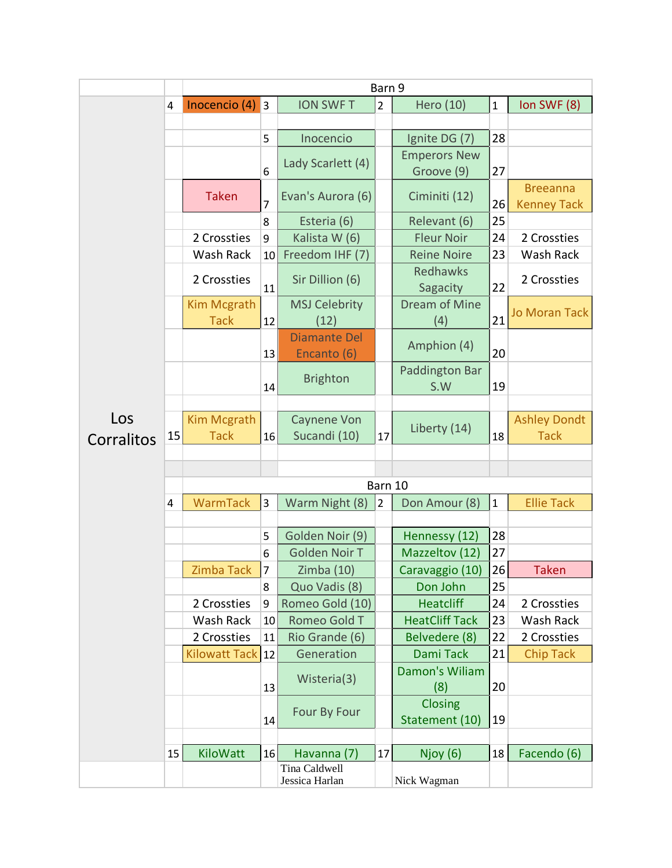|            | 4  | Inocencio $(4)$ 3                 |                         | <b>ION SWFT</b>                    | $\overline{2}$ | Hero (10)                   | $\mathbf 1$  | Ion SWF (8)                           |
|------------|----|-----------------------------------|-------------------------|------------------------------------|----------------|-----------------------------|--------------|---------------------------------------|
|            |    |                                   |                         |                                    |                |                             |              |                                       |
|            |    |                                   | 5                       | Inocencio                          |                | Ignite DG (7)               | 28           |                                       |
|            |    |                                   |                         |                                    |                | <b>Emperors New</b>         |              |                                       |
|            |    |                                   | 6                       | Lady Scarlett (4)                  |                | Groove (9)                  | 27           |                                       |
|            |    | <b>Taken</b>                      | $\overline{7}$          | Evan's Aurora (6)                  |                | Ciminiti (12)               | 26           | <b>Breeanna</b><br><b>Kenney Tack</b> |
|            |    |                                   | 8                       | Esteria (6)                        |                | Relevant (6)                | 25           |                                       |
|            |    | 2 Crossties                       | 9                       | Kalista W (6)                      |                | <b>Fleur Noir</b>           | 24           | 2 Crossties                           |
|            |    | Wash Rack                         | <b>Reine Noire</b>      | 23                                 | Wash Rack      |                             |              |                                       |
|            |    | 2 Crossties                       | 11                      | Sir Dillion (6)                    |                | Redhawks<br>Sagacity        | 22           | 2 Crossties                           |
|            |    | <b>Kim Mcgrath</b><br><b>Tack</b> | 12                      | <b>MSJ Celebrity</b><br>(12)       |                | <b>Dream of Mine</b><br>(4) | 21           | <b>Jo Moran Tack</b>                  |
|            |    |                                   | 13                      | <b>Diamante Del</b><br>Encanto (6) |                | Amphion (4)                 | 20           |                                       |
|            |    |                                   | 14                      | <b>Brighton</b>                    |                | Paddington Bar<br>S.W       | 19           |                                       |
|            |    |                                   |                         |                                    |                |                             |              |                                       |
| Los        |    | <b>Kim Mcgrath</b>                |                         | <b>Caynene Von</b>                 |                | Liberty (14)                |              | <b>Ashley Dondt</b>                   |
| Corralitos | 15 | <b>Tack</b>                       | 16                      | Sucandi (10)                       | 17             |                             | 18           | <b>Tack</b>                           |
|            |    |                                   |                         |                                    |                |                             |              |                                       |
|            |    |                                   |                         |                                    |                |                             |              |                                       |
|            |    |                                   |                         |                                    | Barn 10        |                             |              |                                       |
|            | 4  | WarmTack                          | 3                       | Warm Night (8)                     | $\overline{2}$ | Don Amour (8)               | $\mathbf{1}$ | <b>Ellie Tack</b>                     |
|            |    |                                   | 5                       | Golden Noir (9)                    |                | Hennessy (12)               | 28           |                                       |
|            |    |                                   | 6                       | <b>Golden Noir T</b>               |                | Mazzeltov (12)              | 27           |                                       |
|            |    | Zimba Tack                        | $\overline{7}$          | Zimba (10)                         |                | Caravaggio (10)             | 26           | Taken                                 |
|            |    |                                   | 8                       | Quo Vadis (8)                      |                | Don John                    | 25           |                                       |
|            |    | 2 Crossties                       | 9                       | Romeo Gold (10)                    |                | <b>Heatcliff</b>            | 24           | 2 Crossties                           |
|            |    | Wash Rack                         | 10                      | Romeo Gold T                       |                | <b>HeatCliff Tack</b>       | 23           | Wash Rack                             |
|            |    | 2 Crossties                       | 11                      | Rio Grande (6)                     |                | Belvedere (8)               | 22           | 2 Crossties                           |
|            |    | <b>Kilowatt Tack</b>              | 12                      | Generation                         |                | <b>Dami Tack</b>            | 21           | <b>Chip Tack</b>                      |
|            |    |                                   | 13                      | Wisteria(3)                        |                | Damon's Wiliam<br>(8)       | 20           |                                       |
|            |    |                                   | 14                      | Four By Four                       |                | Closing<br>Statement (10)   | 19           |                                       |
|            |    |                                   |                         |                                    |                |                             |              |                                       |
|            | 15 | KiloWatt                          | 16<br>Havanna (7)<br>17 |                                    |                | Njoy (6)                    | 18           | Facendo (6)                           |
|            |    |                                   |                         | Tina Caldwell<br>Jessica Harlan    |                | Nick Wagman                 |              |                                       |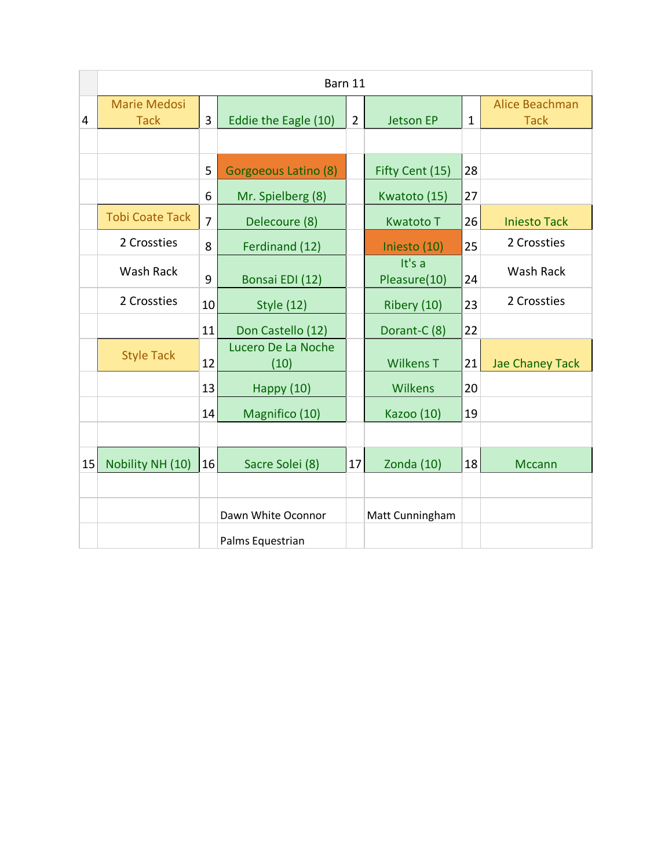|    | Barn 11                            |                      |                                   |                |                        |                     |                                      |  |  |  |  |  |  |  |
|----|------------------------------------|----------------------|-----------------------------------|----------------|------------------------|---------------------|--------------------------------------|--|--|--|--|--|--|--|
| 4  | <b>Marie Medosi</b><br><b>Tack</b> | 3                    | Eddie the Eagle (10)              | $\overline{2}$ | <b>Jetson EP</b>       | $\mathbf 1$         | <b>Alice Beachman</b><br><b>Tack</b> |  |  |  |  |  |  |  |
|    |                                    |                      |                                   |                |                        |                     |                                      |  |  |  |  |  |  |  |
|    |                                    | 5                    | <b>Gorgoeous Latino (8)</b>       |                | Fifty Cent (15)        | 28                  |                                      |  |  |  |  |  |  |  |
|    |                                    | 6                    | Mr. Spielberg (8)                 |                | Kwatoto (15)           | 27                  |                                      |  |  |  |  |  |  |  |
|    | <b>Tobi Coate Tack</b>             | $\overline{7}$       | Delecoure (8)<br><b>Kwatoto T</b> |                | 26                     | <b>Iniesto Tack</b> |                                      |  |  |  |  |  |  |  |
|    | 2 Crossties                        | 8                    | Ferdinand (12)                    |                | Iniesto (10)           | 25                  | 2 Crossties                          |  |  |  |  |  |  |  |
|    | Wash Rack                          | 9<br>Bonsai EDI (12) |                                   |                | It's a<br>Pleasure(10) | 24                  | Wash Rack                            |  |  |  |  |  |  |  |
|    | 2 Crossties                        | 10                   | <b>Style (12)</b>                 |                | Ribery (10)            | 23                  | 2 Crossties                          |  |  |  |  |  |  |  |
|    |                                    | 11                   | Don Castello (12)                 |                | Dorant-C (8)           | 22                  |                                      |  |  |  |  |  |  |  |
|    | <b>Style Tack</b>                  | 12                   | Lucero De La Noche<br>(10)        |                | <b>Wilkens T</b>       | 21                  | <b>Jae Chaney Tack</b>               |  |  |  |  |  |  |  |
|    |                                    | 13                   | Happy (10)                        |                | Wilkens                | 20                  |                                      |  |  |  |  |  |  |  |
|    |                                    | 14                   | Magnifico (10)                    |                | <b>Kazoo</b> (10)      | 19                  |                                      |  |  |  |  |  |  |  |
|    |                                    |                      |                                   |                |                        |                     |                                      |  |  |  |  |  |  |  |
| 15 | Nobility NH (10)                   | 16                   | Sacre Solei (8)                   | 17             | Zonda (10)             | 18                  | <b>Mccann</b>                        |  |  |  |  |  |  |  |
|    |                                    |                      |                                   |                |                        |                     |                                      |  |  |  |  |  |  |  |
|    |                                    | Dawn White Oconnor   |                                   |                | Matt Cunningham        |                     |                                      |  |  |  |  |  |  |  |
|    |                                    |                      | Palms Equestrian                  |                |                        |                     |                                      |  |  |  |  |  |  |  |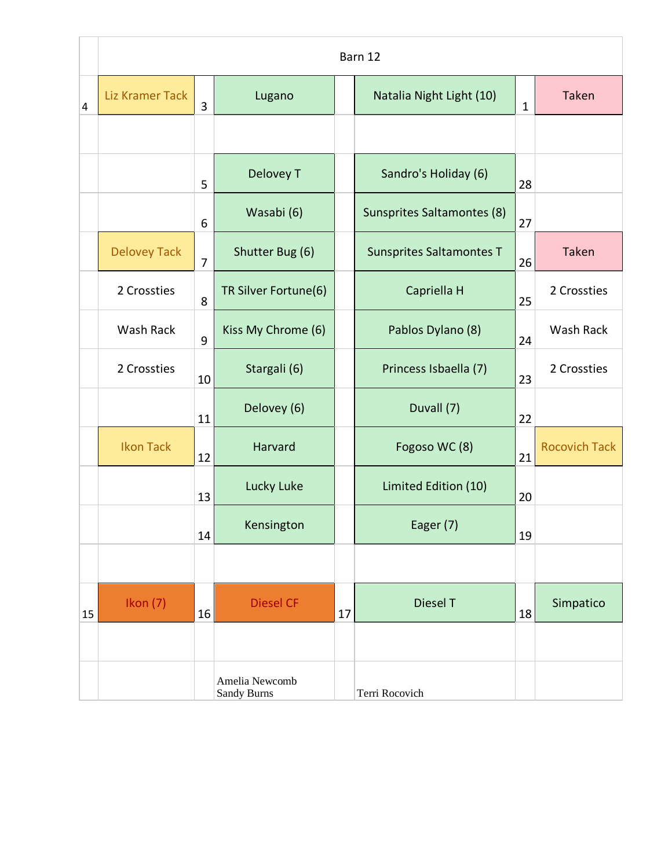|    | Barn 12                       |    |                      |    |                                 |             |                      |  |  |  |  |  |  |
|----|-------------------------------|----|----------------------|----|---------------------------------|-------------|----------------------|--|--|--|--|--|--|
| 4  | <b>Liz Kramer Tack</b>        | 3  | Lugano               |    | Natalia Night Light (10)        | $\mathbf 1$ | Taken                |  |  |  |  |  |  |
|    |                               |    |                      |    |                                 |             |                      |  |  |  |  |  |  |
|    |                               | 5  | Delovey T            |    | Sandro's Holiday (6)            | 28          |                      |  |  |  |  |  |  |
|    |                               | 6  | Wasabi (6)           |    | Sunsprites Saltamontes (8)      | 27          |                      |  |  |  |  |  |  |
|    | <b>Delovey Tack</b>           | 7  | Shutter Bug (6)      |    | <b>Sunsprites Saltamontes T</b> | 26          | Taken                |  |  |  |  |  |  |
|    | 2 Crossties                   | 8  | TR Silver Fortune(6) |    | Capriella H                     | 25          | 2 Crossties          |  |  |  |  |  |  |
|    | Wash Rack                     | 9  | Kiss My Chrome (6)   |    | Pablos Dylano (8)               | 24          | Wash Rack            |  |  |  |  |  |  |
|    | 2 Crossties                   | 10 | Stargali (6)         |    | Princess Isbaella (7)           | 23          | 2 Crossties          |  |  |  |  |  |  |
|    |                               | 11 | Delovey (6)          |    | Duvall (7)                      | 22          |                      |  |  |  |  |  |  |
|    | <b>Ikon Tack</b>              | 12 | Harvard              |    | Fogoso WC (8)                   | 21          | <b>Rocovich Tack</b> |  |  |  |  |  |  |
|    |                               | 13 | Lucky Luke           |    | Limited Edition (10)            | 20          |                      |  |  |  |  |  |  |
|    |                               | 14 | Kensington           |    | Eager (7)                       | 19          |                      |  |  |  |  |  |  |
|    |                               |    |                      |    |                                 |             |                      |  |  |  |  |  |  |
| 15 | <b>Ikon</b> (7)               | 16 | <b>Diesel CF</b>     | 17 | Diesel T                        | 18          | Simpatico            |  |  |  |  |  |  |
|    |                               |    |                      |    |                                 |             |                      |  |  |  |  |  |  |
|    | Amelia Newcomb<br>Sandy Burns |    |                      |    | Terri Rocovich                  |             |                      |  |  |  |  |  |  |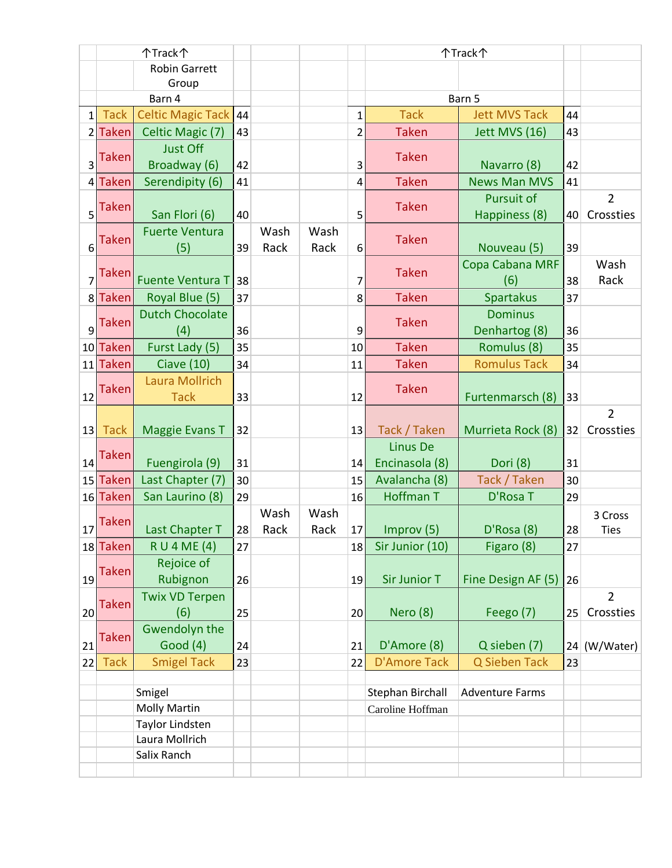|                |                   | 个Track个                              |    |              |              |                | 个Track个                                |                                  |          |                |
|----------------|-------------------|--------------------------------------|----|--------------|--------------|----------------|----------------------------------------|----------------------------------|----------|----------------|
|                |                   | <b>Robin Garrett</b>                 |    |              |              |                |                                        |                                  |          |                |
|                |                   | Group                                |    |              |              |                |                                        |                                  |          |                |
|                |                   | Barn 4                               |    |              |              |                |                                        | Barn 5                           |          |                |
| $\mathbf{1}$   | <b>Tack</b>       | <b>Celtic Magic Tack</b>             | 44 |              |              | $\mathbf{1}$   | <b>Tack</b>                            | <b>Jett MVS Tack</b>             | 44       |                |
|                | 2 Taken           | Celtic Magic (7)                     | 43 |              |              | $\overline{2}$ | <b>Taken</b>                           | Jett MVS (16)                    | 43       |                |
| 3              | Taken             | <b>Just Off</b><br>Broadway (6)      | 42 |              |              | 3              | <b>Taken</b>                           | Navarro (8)                      | 42       |                |
|                | 4 Taken           | Serendipity (6)                      | 41 |              |              | 4              | <b>Taken</b>                           | <b>News Man MVS</b>              | 41       |                |
|                | <b>Taken</b>      |                                      |    |              |              |                | <b>Taken</b>                           | <b>Pursuit of</b>                |          | $\overline{2}$ |
| 5              |                   | San Flori (6)                        | 40 |              |              | 5              |                                        | Happiness (8)                    | 40       | Crossties      |
| 6              | Taken             | <b>Fuerte Ventura</b><br>(5)         | 39 | Wash<br>Rack | Wash<br>Rack | 6              | <b>Taken</b>                           | Nouveau (5)                      | 39       |                |
| $\overline{7}$ | Taken             | <b>Fuente Ventura T</b>              | 38 |              |              | 7              | <b>Taken</b>                           | Copa Cabana MRF<br>(6)           | 38       | Wash<br>Rack   |
|                | 8 Taken           | Royal Blue (5)                       | 37 |              |              | 8              | <b>Taken</b>                           | <b>Spartakus</b>                 | 37       |                |
| 9              | <b>Taken</b>      | <b>Dutch Chocolate</b><br>(4)        | 36 |              |              | 9              | <b>Taken</b>                           | <b>Dominus</b><br>Denhartog (8)  | 36       |                |
|                | 10 Taken          | Furst Lady (5)                       | 35 |              |              | 10             | <b>Taken</b>                           | Romulus (8)                      | 35       |                |
|                | 11 Taken          | <b>Ciave (10)</b>                    | 34 |              |              | 11             | <b>Taken</b>                           | <b>Romulus Tack</b>              | 34       |                |
| 12             | Taken             | <b>Laura Mollrich</b><br><b>Tack</b> | 33 |              |              | 12             | <b>Taken</b>                           | Furtenmarsch (8)                 | 33       |                |
|                |                   |                                      |    |              |              |                |                                        |                                  |          | $\overline{2}$ |
| 13             | <b>Tack</b>       | <b>Maggie Evans T</b>                | 32 |              |              | 13             | Tack / Taken                           | Murrieta Rock (8)                | 32       | Crossties      |
|                |                   |                                      |    |              |              |                |                                        |                                  |          |                |
|                |                   |                                      |    |              |              |                | <b>Linus De</b>                        |                                  |          |                |
| 14             | Taken             | Fuengirola (9)                       | 31 |              |              | 14             | Encinasola (8)                         | Dori (8)                         | 31       |                |
|                | 15 Taken          | Last Chapter (7)                     | 30 |              |              | 15             | Avalancha (8)                          | Tack / Taken                     | 30       |                |
|                | 16 Taken          | San Laurino (8)                      | 29 |              |              | 16             | <b>Hoffman T</b>                       | D'Rosa T                         | 29       |                |
| 17             | Taken             | Last Chapter T                       | 28 | Wash<br>Rack | Wash         | 17             |                                        |                                  |          | 3 Cross        |
|                |                   | R U 4 ME (4)                         | 27 |              | Rack         | 18             | Improv (5)                             | D'Rosa (8)                       | 28<br>27 | <b>Ties</b>    |
| 19             | 18 Taken<br>Taken | Rejoice of<br>Rubignon               | 26 |              |              | 19             | Sir Junior (10)<br><b>Sir Junior T</b> | Figaro (8)<br>Fine Design AF (5) | 26       |                |
|                |                   | <b>Twix VD Terpen</b>                |    |              |              |                |                                        |                                  |          | $\overline{2}$ |
| 20             | <b>Taken</b>      | (6)                                  | 25 |              |              | 20             | Nero (8)                               | Feego (7)                        | 25       | Crossties      |
|                | Taken             | <b>Gwendolyn the</b>                 |    |              |              |                |                                        |                                  |          |                |
| 21             |                   | <b>Good (4)</b>                      | 24 |              |              | 21<br>22       | D'Amore (8)                            | Q sieben (7)                     | 24       | (W/Water)      |
| 22             | <b>Tack</b>       | <b>Smigel Tack</b>                   | 23 |              |              |                | <b>D'Amore Tack</b>                    | Q Sieben Tack                    | 23       |                |
|                |                   | Smigel                               |    |              |              |                | <b>Stephan Birchall</b>                | <b>Adventure Farms</b>           |          |                |
|                |                   | <b>Molly Martin</b>                  |    |              |              |                | Caroline Hoffman                       |                                  |          |                |
|                |                   | <b>Taylor Lindsten</b>               |    |              |              |                |                                        |                                  |          |                |
|                |                   | Laura Mollrich                       |    |              |              |                |                                        |                                  |          |                |
|                |                   | Salix Ranch                          |    |              |              |                |                                        |                                  |          |                |